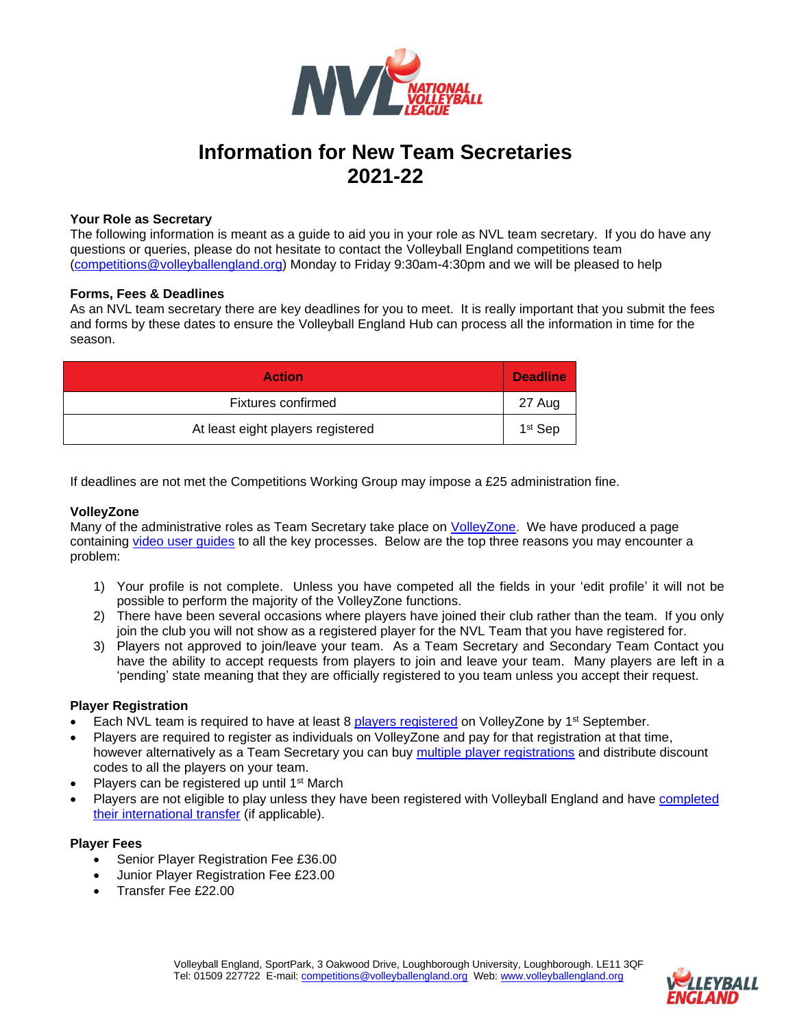

# **Information for New Team Secretaries 2021-22**

## **Your Role as Secretary**

The following information is meant as a guide to aid you in your role as NVL team secretary. If you do have any questions or queries, please do not hesitate to contact the Volleyball England competitions team [\(competitions@volleyballengland.org\)](mailto:competitions@volleyballengland.org) Monday to Friday 9:30am-4:30pm and we will be pleased to help

## **Forms, Fees & Deadlines**

As an NVL team secretary there are key deadlines for you to meet. It is really important that you submit the fees and forms by these dates to ensure the Volleyball England Hub can process all the information in time for the season.

| <b>Action</b>                     | <b>Deadline</b>     |
|-----------------------------------|---------------------|
| Fixtures confirmed                | 27 Aug              |
| At least eight players registered | 1 <sup>st</sup> Sep |

If deadlines are not met the Competitions Working Group may impose a £25 administration fine.

## **VolleyZone**

Many of the administrative roles as Team Secretary take place on [VolleyZone.](http://www.volleyzone.co.uk/) We have produced a page containing [video user guides](https://www.volleyballengland.org/competitions/competitions_volleyzone_guides) to all the key processes. Below are the top three reasons you may encounter a problem:

- 1) Your profile is not complete. Unless you have competed all the fields in your 'edit profile' it will not be possible to perform the majority of the VolleyZone functions.
- 2) There have been several occasions where players have joined their club rather than the team. If you only join the club you will not show as a registered player for the NVL Team that you have registered for.
- 3) Players not approved to join/leave your team. As a Team Secretary and Secondary Team Contact you have the ability to accept requests from players to join and leave your team. Many players are left in a 'pending' state meaning that they are officially registered to you team unless you accept their request.

### **Player Registration**

- Each NVL team is required to have at least 8 [players registered](https://www.youtube.com/watch?v=gj8_6gyuMGk) on VolleyZone by 1<sup>st</sup> September.
- Players are required to register as individuals on VolleyZone and pay for that registration at that time, however alternatively as a Team Secretary you can buy multiple [player registrations](https://youtu.be/wd88FIrs5EA) and distribute discount codes to all the players on your team.
- Players can be registered up until 1<sup>st</sup> March
- Players are not eligible to play unless they have been registered with Volleyball England and have completed [their international transfer](https://www.youtube.com/watch?v=gj8_6gyuMGk&t=486s) (if applicable).

### **Player Fees**

- Senior Player Registration Fee £36.00
- Junior Player Registration Fee £23.00
- Transfer Fee £22.00

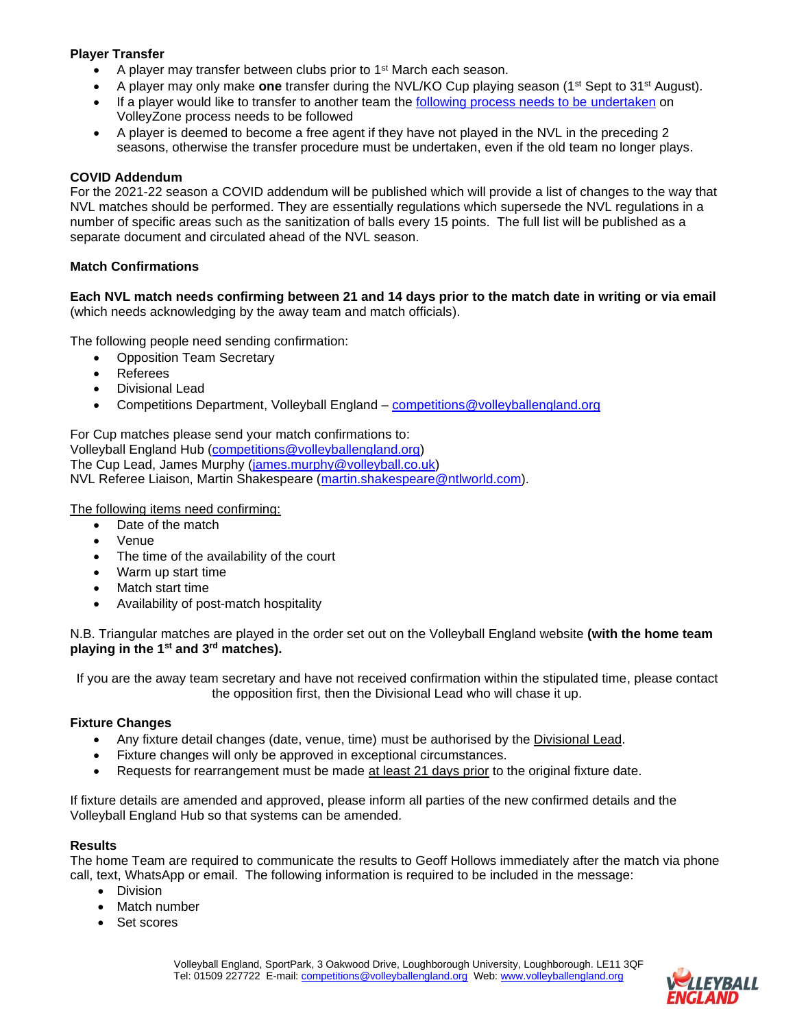# **Player Transfer**

- A player may transfer between clubs prior to 1<sup>st</sup> March each season.
- A player may only make **one** transfer during the NVL/KO Cup playing season (1st Sept to 31st August).
- If a player would like to transfer to another team the [following process needs to be](https://www.youtube.com/watch?v=spKSJF35FSQ) undertaken on VolleyZone process needs to be followed
- A player is deemed to become a free agent if they have not played in the NVL in the preceding 2 seasons, otherwise the transfer procedure must be undertaken, even if the old team no longer plays.

# **COVID Addendum**

For the 2021-22 season a COVID addendum will be published which will provide a list of changes to the way that NVL matches should be performed. They are essentially regulations which supersede the NVL regulations in a number of specific areas such as the sanitization of balls every 15 points. The full list will be published as a separate document and circulated ahead of the NVL season.

# **Match Confirmations**

**Each NVL match needs confirming between 21 and 14 days prior to the match date in writing or via email** (which needs acknowledging by the away team and match officials).

The following people need sending confirmation:

- Opposition Team Secretary
- **Referees**
- Divisional Lead
- Competitions Department, Volleyball England [competitions@volleyballengland.org](mailto:competitions@volleyballengland.org)

For Cup matches please send your match confirmations to:

Volleyball England Hub [\(competitions@volleyballengland.org\)](mailto:competitions@volleyballengland.org) The Cup Lead, James Murphy [\(james.murphy@volleyball.co.uk\)](mailto:james.murphy@volleyball.co.uk) NVL Referee Liaison, Martin Shakespeare [\(martin.shakespeare@ntlworld.com\)](mailto:martin.shakespeare@ntlworld.com).

The following items need confirming:

- Date of the match
- Venue
- The time of the availability of the court
- Warm up start time
- Match start time
- Availability of post-match hospitality

N.B. Triangular matches are played in the order set out on the Volleyball England website **(with the home team playing in the 1st and 3rd matches).**

If you are the away team secretary and have not received confirmation within the stipulated time, please contact the opposition first, then the Divisional Lead who will chase it up.

## **Fixture Changes**

- Any fixture detail changes (date, venue, time) must be authorised by the Divisional Lead.
- Fixture changes will only be approved in exceptional circumstances.
- Requests for rearrangement must be made at least 21 days prior to the original fixture date.

If fixture details are amended and approved, please inform all parties of the new confirmed details and the Volleyball England Hub so that systems can be amended.

## **Results**

The home Team are required to communicate the results to Geoff Hollows immediately after the match via phone call, text, WhatsApp or email. The following information is required to be included in the message:

- Division
- Match number
- Set scores